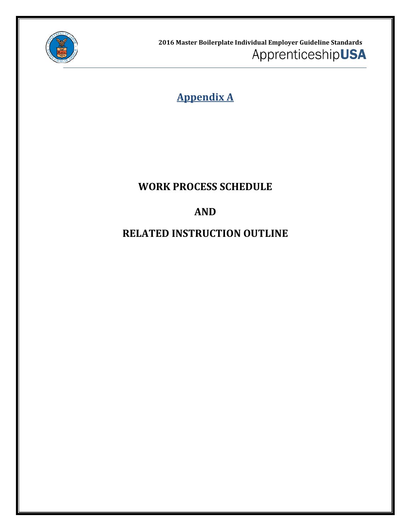

**2016 Master Boilerplate Individual Employer Guideline Standards** ApprenticeshipUSA

**Appendix A**

## **WORK PROCESS SCHEDULE**

# **AND**

# **RELATED INSTRUCTION OUTLINE**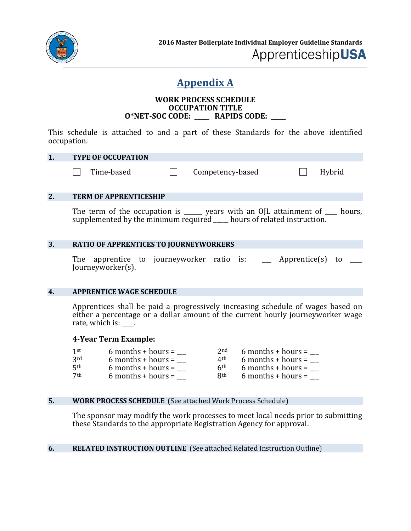

### **Appendix A**

#### **WORK PROCESS SCHEDULE OCCUPATION TITLE O\*NET-SOC CODE: \_\_\_\_\_ RAPIDS CODE: \_\_\_\_\_**

This schedule is attached to and a part of these Standards for the above identified occupation.

#### **1. TYPE OF OCCUPATION**

Time-based  $\Box$  Competency-based  $\Box$  Hybrid

#### **2. TERM OF APPRENTICESHIP**

The term of the occupation is \_\_\_\_\_\_ years with an OJL attainment of \_\_\_\_ hours, supplemented by the minimum required \_\_\_\_\_ hours of related instruction.

#### **3. RATIO OF APPRENTICES TO JOURNEYWORKERS**

The apprentice to journeyworker ratio is: Apprentice(s) to Journeyworker(s).

#### **4. APPRENTICE WAGE SCHEDULE**

Apprentices shall be paid a progressively increasing schedule of wages based on either a percentage or a dollar amount of the current hourly journeyworker wage rate, which is:  $\_\_$ .

#### **4-Year Term Example:**

| 1 <sup>st</sup> | $6$ months + hours = | 2nd        | $6$ months + hours = |
|-----------------|----------------------|------------|----------------------|
| 3rd             | $6$ months + hours = | 4th        | $6$ months + hours = |
| 5 <sup>th</sup> | $6$ months + hours = | 6th        | $6$ months + hours = |
| 7 <sup>th</sup> | $6$ months + hours = | <b>Rth</b> | $6$ months + hours = |
|                 |                      |            |                      |

#### **5. WORK PROCESS SCHEDULE** (See attached Work Process Schedule)

The sponsor may modify the work processes to meet local needs prior to submitting these Standards to the appropriate Registration Agency for approval.

#### **6. RELATED INSTRUCTION OUTLINE** (See attached Related Instruction Outline)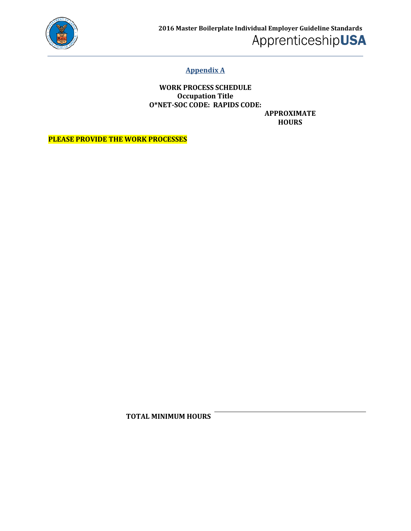

### **Appendix A**

**WORK PROCESS SCHEDULE Occupation Title O\*NET-SOC CODE: RAPIDS CODE: APPROXIMATE** 

**HOURS**

**PLEASE PROVIDE THE WORK PROCESSES**

**TOTAL MINIMUM HOURS**